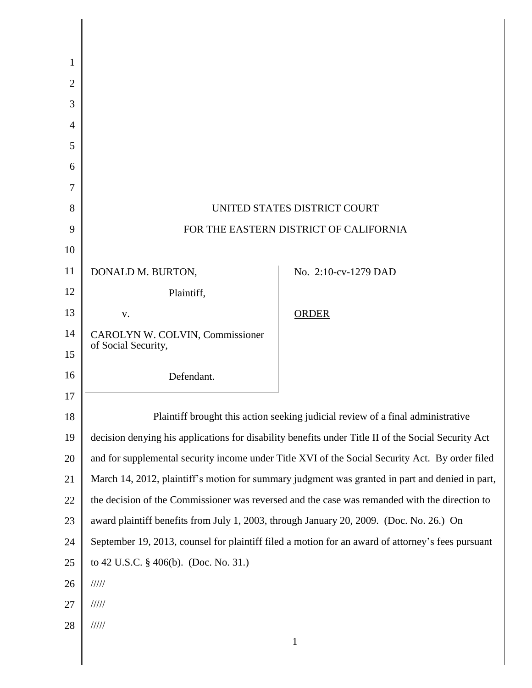| 1              |                                                                                                     |                      |
|----------------|-----------------------------------------------------------------------------------------------------|----------------------|
| $\overline{2}$ |                                                                                                     |                      |
| 3              |                                                                                                     |                      |
| 4              |                                                                                                     |                      |
| 5              |                                                                                                     |                      |
| 6              |                                                                                                     |                      |
| 7              |                                                                                                     |                      |
| 8              | UNITED STATES DISTRICT COURT                                                                        |                      |
| 9              | FOR THE EASTERN DISTRICT OF CALIFORNIA                                                              |                      |
| 10             |                                                                                                     |                      |
| 11             | DONALD M. BURTON,                                                                                   | No. 2:10-cv-1279 DAD |
| 12             | Plaintiff,                                                                                          |                      |
| 13             | V.                                                                                                  | ORDER                |
| 14             | CAROLYN W. COLVIN, Commissioner                                                                     |                      |
| 15             | of Social Security,                                                                                 |                      |
| 16             | Defendant.                                                                                          |                      |
| 17             |                                                                                                     |                      |
| 18             | Plaintiff brought this action seeking judicial review of a final administrative                     |                      |
| 19             | decision denying his applications for disability benefits under Title II of the Social Security Act |                      |
| 20             | and for supplemental security income under Title XVI of the Social Security Act. By order filed     |                      |
| 21             | March 14, 2012, plaintiff's motion for summary judgment was granted in part and denied in part,     |                      |
| 22             | the decision of the Commissioner was reversed and the case was remanded with the direction to       |                      |
| 23             | award plaintiff benefits from July 1, 2003, through January 20, 2009. (Doc. No. 26.) On             |                      |
| 24             | September 19, 2013, counsel for plaintiff filed a motion for an award of attorney's fees pursuant   |                      |
| 25             | to 42 U.S.C. § 406(b). (Doc. No. 31.)                                                               |                      |
| 26             | 11111                                                                                               |                      |
| 27             | 11111                                                                                               |                      |
| 28             | $\frac{1}{1}$                                                                                       |                      |
|                |                                                                                                     | 1                    |

 $\parallel$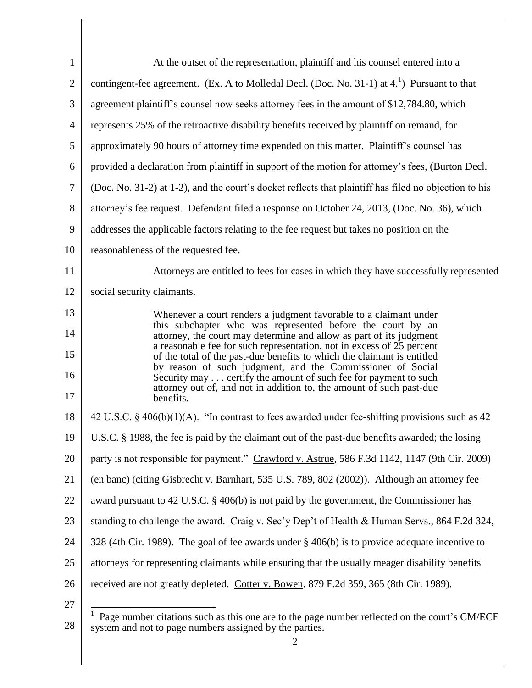| $\mathbf{1}$   | At the outset of the representation, plaintiff and his counsel entered into a                                                                            |  |  |
|----------------|----------------------------------------------------------------------------------------------------------------------------------------------------------|--|--|
| $\overline{2}$ | contingent-fee agreement. (Ex. A to Molledal Decl. (Doc. No. 31-1) at $41$ ) Pursuant to that                                                            |  |  |
| 3              | agreement plaintiff's counsel now seeks attorney fees in the amount of \$12,784.80, which                                                                |  |  |
| $\overline{4}$ | represents 25% of the retroactive disability benefits received by plaintiff on remand, for                                                               |  |  |
| 5              | approximately 90 hours of attorney time expended on this matter. Plaintiff's counsel has                                                                 |  |  |
| 6              | provided a declaration from plaintiff in support of the motion for attorney's fees, (Burton Decl.                                                        |  |  |
| $\tau$         | (Doc. No. 31-2) at 1-2), and the court's docket reflects that plaintiff has filed no objection to his                                                    |  |  |
| 8              | attorney's fee request. Defendant filed a response on October 24, 2013, (Doc. No. 36), which                                                             |  |  |
| 9              | addresses the applicable factors relating to the fee request but takes no position on the                                                                |  |  |
| 10             | reasonableness of the requested fee.                                                                                                                     |  |  |
| 11             | Attorneys are entitled to fees for cases in which they have successfully represented                                                                     |  |  |
| 12             | social security claimants.                                                                                                                               |  |  |
| 13             | Whenever a court renders a judgment favorable to a claimant under                                                                                        |  |  |
| 14             | this subchapter who was represented before the court by an<br>attorney, the court may determine and allow as part of its judgment                        |  |  |
| 15             | a reasonable fee for such representation, not in excess of 25 percent<br>of the total of the past-due benefits to which the claimant is entitled         |  |  |
| 16             | by reason of such judgment, and the Commissioner of Social<br>Security may certify the amount of such fee for payment to such                            |  |  |
| 17             | attorney out of, and not in addition to, the amount of such past-due<br>benefits.                                                                        |  |  |
| 18             | 42 U.S.C. § 406(b)(1)(A). "In contrast to fees awarded under fee-shifting provisions such as 42                                                          |  |  |
| 19             | U.S.C. § 1988, the fee is paid by the claimant out of the past-due benefits awarded; the losing                                                          |  |  |
| 20             | party is not responsible for payment." Crawford v. Astrue, 586 F.3d 1142, 1147 (9th Cir. 2009)                                                           |  |  |
| 21             | (en banc) (citing Gisbrecht v. Barnhart, 535 U.S. 789, 802 (2002)). Although an attorney fee                                                             |  |  |
| 22             | award pursuant to 42 U.S.C. § 406(b) is not paid by the government, the Commissioner has                                                                 |  |  |
| 23             | standing to challenge the award. Craig v. Sec'y Dep't of Health & Human Servs., 864 F.2d 324,                                                            |  |  |
| 24             | 328 (4th Cir. 1989). The goal of fee awards under $\S$ 406(b) is to provide adequate incentive to                                                        |  |  |
| 25             | attorneys for representing claimants while ensuring that the usually meager disability benefits                                                          |  |  |
| 26             | received are not greatly depleted. Cotter v. Bowen, 879 F.2d 359, 365 (8th Cir. 1989).                                                                   |  |  |
| 27             | 1                                                                                                                                                        |  |  |
| 28             | Page number citations such as this one are to the page number reflected on the court's CM/ECF<br>system and not to page numbers assigned by the parties. |  |  |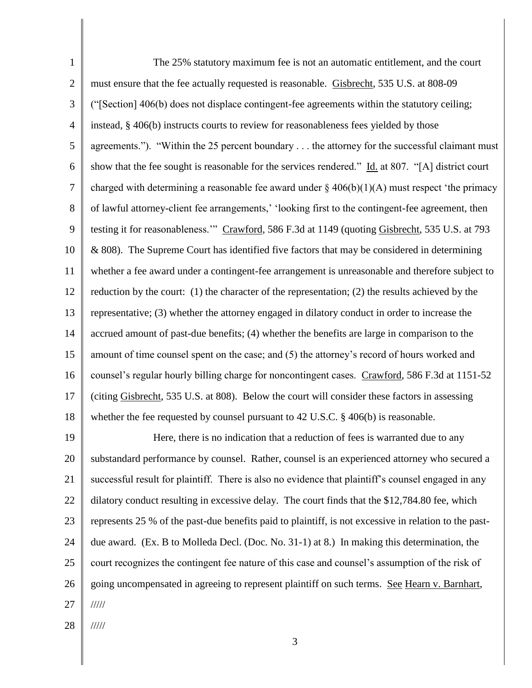1 2 3 4 5 6 7 8 9 10 11 12 13 14 15 16 17 18 The 25% statutory maximum fee is not an automatic entitlement, and the court must ensure that the fee actually requested is reasonable. Gisbrecht, 535 U.S. at 808-09 ("[Section] 406(b) does not displace contingent-fee agreements within the statutory ceiling; instead, § 406(b) instructs courts to review for reasonableness fees yielded by those agreements."). "Within the 25 percent boundary . . . the attorney for the successful claimant must show that the fee sought is reasonable for the services rendered." Id. at 807. "[A] district court charged with determining a reasonable fee award under  $\S$  406(b)(1)(A) must respect 'the primacy of lawful attorney-client fee arrangements,' 'looking first to the contingent-fee agreement, then testing it for reasonableness.'" Crawford, 586 F.3d at 1149 (quoting Gisbrecht, 535 U.S. at 793 & 808). The Supreme Court has identified five factors that may be considered in determining whether a fee award under a contingent-fee arrangement is unreasonable and therefore subject to reduction by the court: (1) the character of the representation; (2) the results achieved by the representative; (3) whether the attorney engaged in dilatory conduct in order to increase the accrued amount of past-due benefits; (4) whether the benefits are large in comparison to the amount of time counsel spent on the case; and (5) the attorney's record of hours worked and counsel's regular hourly billing charge for noncontingent cases. Crawford, 586 F.3d at 1151-52 (citing Gisbrecht, 535 U.S. at 808). Below the court will consider these factors in assessing whether the fee requested by counsel pursuant to 42 U.S.C. § 406(b) is reasonable.

19 20 21 22 23 24 25 26 27 Here, there is no indication that a reduction of fees is warranted due to any substandard performance by counsel. Rather, counsel is an experienced attorney who secured a successful result for plaintiff. There is also no evidence that plaintiff's counsel engaged in any dilatory conduct resulting in excessive delay. The court finds that the \$12,784.80 fee, which represents 25 % of the past-due benefits paid to plaintiff, is not excessive in relation to the pastdue award. (Ex. B to Molleda Decl. (Doc. No. 31-1) at 8.) In making this determination, the court recognizes the contingent fee nature of this case and counsel's assumption of the risk of going uncompensated in agreeing to represent plaintiff on such terms. See Hearn v. Barnhart, /////

28 /////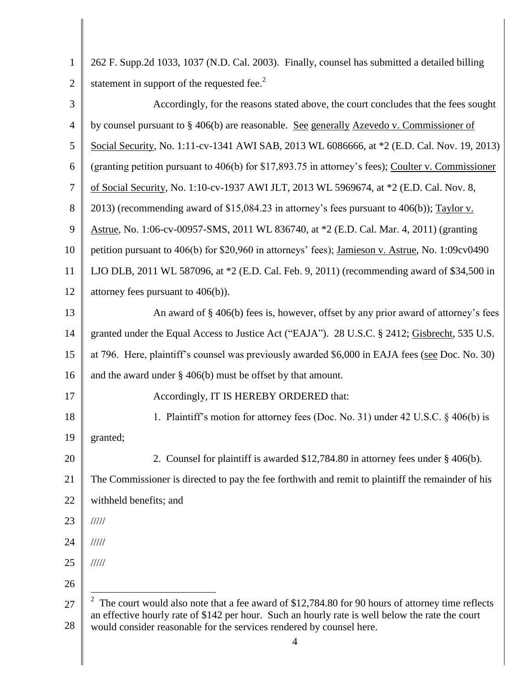| $\mathbf{1}$   | 262 F. Supp.2d 1033, 1037 (N.D. Cal. 2003). Finally, counsel has submitted a detailed billing                                                                            |  |
|----------------|--------------------------------------------------------------------------------------------------------------------------------------------------------------------------|--|
| $\overline{2}$ | statement in support of the requested fee. <sup>2</sup>                                                                                                                  |  |
| 3              | Accordingly, for the reasons stated above, the court concludes that the fees sought                                                                                      |  |
| $\overline{4}$ | by counsel pursuant to § 406(b) are reasonable. See generally Azevedo v. Commissioner of                                                                                 |  |
| 5              | Social Security, No. 1:11-cv-1341 AWI SAB, 2013 WL 6086666, at *2 (E.D. Cal. Nov. 19, 2013)                                                                              |  |
| 6              | (granting petition pursuant to 406(b) for \$17,893.75 in attorney's fees); Coulter v. Commissioner                                                                       |  |
| $\tau$         | of Social Security, No. 1:10-cv-1937 AWI JLT, 2013 WL 5969674, at *2 (E.D. Cal. Nov. 8,                                                                                  |  |
| $8\,$          | 2013) (recommending award of \$15,084.23 in attorney's fees pursuant to 406(b)); Taylor v.                                                                               |  |
| 9              | Astrue, No. 1:06-cv-00957-SMS, 2011 WL 836740, at *2 (E.D. Cal. Mar. 4, 2011) (granting                                                                                  |  |
| 10             | petition pursuant to 406(b) for \$20,960 in attorneys' fees); Jamieson v. Astrue, No. 1:09cv0490                                                                         |  |
| 11             | LJO DLB, 2011 WL 587096, at *2 (E.D. Cal. Feb. 9, 2011) (recommending award of \$34,500 in                                                                               |  |
| 12             | attorney fees pursuant to $406(b)$ ).                                                                                                                                    |  |
| 13             | An award of § 406(b) fees is, however, offset by any prior award of attorney's fees                                                                                      |  |
| 14             | granted under the Equal Access to Justice Act ("EAJA"). 28 U.S.C. § 2412; Gisbrecht, 535 U.S.                                                                            |  |
| 15             | at 796. Here, plaintiff's counsel was previously awarded \$6,000 in EAJA fees (see Doc. No. 30)                                                                          |  |
| 16             | and the award under $\S$ 406(b) must be offset by that amount.                                                                                                           |  |
| 17             | Accordingly, IT IS HEREBY ORDERED that:                                                                                                                                  |  |
| 18             | 1. Plaintiff's motion for attorney fees (Doc. No. 31) under 42 U.S.C. § 406(b) is                                                                                        |  |
| 19             | granted;                                                                                                                                                                 |  |
| 20             | 2. Counsel for plaintiff is awarded \$12,784.80 in attorney fees under §406(b).                                                                                          |  |
| 21             | The Commissioner is directed to pay the fee forthwith and remit to plaintiff the remainder of his                                                                        |  |
| 22             | withheld benefits; and                                                                                                                                                   |  |
| 23             | 11111                                                                                                                                                                    |  |
| 24             | 11111                                                                                                                                                                    |  |
| 25             | 11111                                                                                                                                                                    |  |
| 26             |                                                                                                                                                                          |  |
| 27             | The court would also note that a fee award of \$12,784.80 for 90 hours of attorney time reflects                                                                         |  |
| 28             | an effective hourly rate of \$142 per hour. Such an hourly rate is well below the rate the court<br>would consider reasonable for the services rendered by counsel here. |  |
|                | $\overline{4}$                                                                                                                                                           |  |

║